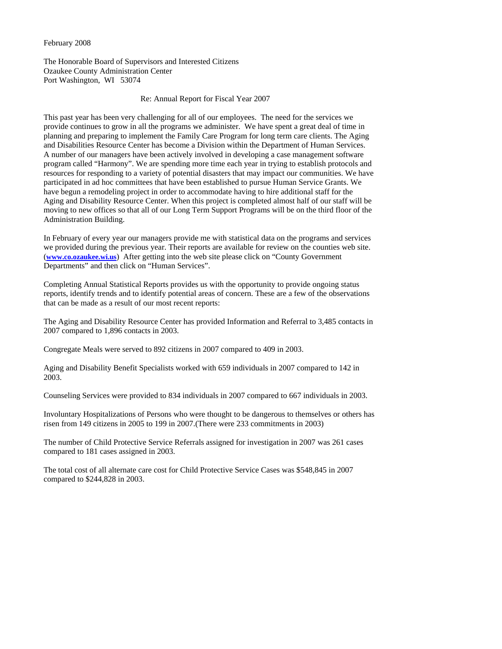#### February 2008

The Honorable Board of Supervisors and Interested Citizens Ozaukee County Administration Center Port Washington, WI 53074

### Re: Annual Report for Fiscal Year 2007

This past year has been very challenging for all of our employees. The need for the services we provide continues to grow in all the programs we administer. We have spent a great deal of time in planning and preparing to implement the Family Care Program for long term care clients. The Aging and Disabilities Resource Center has become a Division within the Department of Human Services. A number of our managers have been actively involved in developing a case management software program called "Harmony". We are spending more time each year in trying to establish protocols and resources for responding to a variety of potential disasters that may impact our communities. We have participated in ad hoc committees that have been established to pursue Human Service Grants. We have begun a remodeling project in order to accommodate having to hire additional staff for the Aging and Disability Resource Center. When this project is completed almost half of our staff will be moving to new offices so that all of our Long Term Support Programs will be on the third floor of the Administration Building.

In February of every year our managers provide me with statistical data on the programs and services we provided during the previous year. Their reports are available for review on the counties web site. (**www.co.ozaukee.wi.us**) After getting into the web site please click on "County Government Departments" and then click on "Human Services".

Completing Annual Statistical Reports provides us with the opportunity to provide ongoing status reports, identify trends and to identify potential areas of concern. These are a few of the observations that can be made as a result of our most recent reports:

The Aging and Disability Resource Center has provided Information and Referral to 3,485 contacts in 2007 compared to 1,896 contacts in 2003.

Congregate Meals were served to 892 citizens in 2007 compared to 409 in 2003.

Aging and Disability Benefit Specialists worked with 659 individuals in 2007 compared to 142 in 2003.

Counseling Services were provided to 834 individuals in 2007 compared to 667 individuals in 2003.

Involuntary Hospitalizations of Persons who were thought to be dangerous to themselves or others has risen from 149 citizens in 2005 to 199 in 2007.(There were 233 commitments in 2003)

The number of Child Protective Service Referrals assigned for investigation in 2007 was 261 cases compared to 181 cases assigned in 2003.

The total cost of all alternate care cost for Child Protective Service Cases was \$548,845 in 2007 compared to \$244,828 in 2003.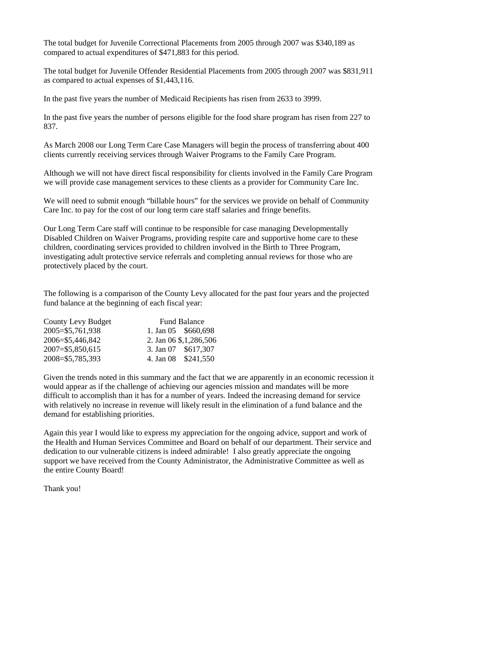The total budget for Juvenile Correctional Placements from 2005 through 2007 was \$340,189 as compared to actual expenditures of \$471,883 for this period.

The total budget for Juvenile Offender Residential Placements from 2005 through 2007 was \$831,911 as compared to actual expenses of \$1,443,116.

In the past five years the number of Medicaid Recipients has risen from 2633 to 3999.

In the past five years the number of persons eligible for the food share program has risen from 227 to 837.

As March 2008 our Long Term Care Case Managers will begin the process of transferring about 400 clients currently receiving services through Waiver Programs to the Family Care Program.

Although we will not have direct fiscal responsibility for clients involved in the Family Care Program we will provide case management services to these clients as a provider for Community Care Inc.

We will need to submit enough "billable hours" for the services we provide on behalf of Community Care Inc. to pay for the cost of our long term care staff salaries and fringe benefits.

Our Long Term Care staff will continue to be responsible for case managing Developmentally Disabled Children on Waiver Programs, providing respite care and supportive home care to these children, coordinating services provided to children involved in the Birth to Three Program, investigating adult protective service referrals and completing annual reviews for those who are protectively placed by the court.

The following is a comparison of the County Levy allocated for the past four years and the projected fund balance at the beginning of each fiscal year:

| County Levy Budget  | <b>Fund Balance</b>       |
|---------------------|---------------------------|
| 2005=\$5,761,938    | 1. Jan 05 \$660,698       |
| 2006=\$5,446,842    | 2. Jan 06 \$, 1, 286, 506 |
| $2007 = $5,850,615$ | 3. Jan 07 \$617,307       |
| 2008=\$5,785,393    | 4. Jan 08 \$241,550       |

Given the trends noted in this summary and the fact that we are apparently in an economic recession it would appear as if the challenge of achieving our agencies mission and mandates will be more difficult to accomplish than it has for a number of years. Indeed the increasing demand for service with relatively no increase in revenue will likely result in the elimination of a fund balance and the demand for establishing priorities.

Again this year I would like to express my appreciation for the ongoing advice, support and work of the Health and Human Services Committee and Board on behalf of our department. Their service and dedication to our vulnerable citizens is indeed admirable! I also greatly appreciate the ongoing support we have received from the County Administrator, the Administrative Committee as well as the entire County Board!

Thank you!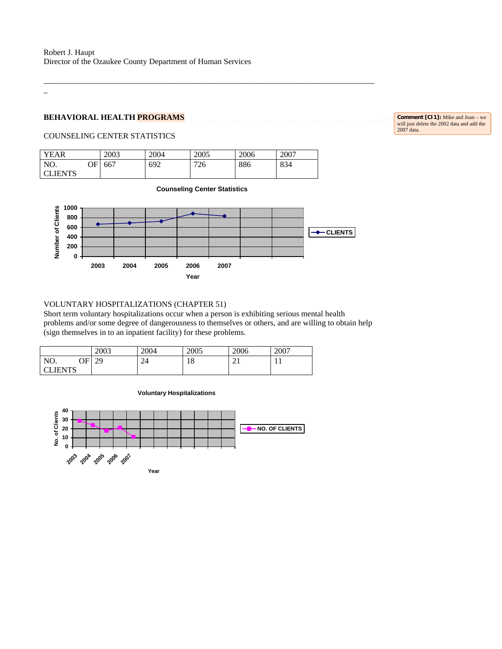# $\overline{a}$

# **BEHAVIORAL HEALTH PROGRAMS**

**Comment [CI1]:** Mike and Joan – we will just delete the 2002 data and add the 2007 data.

# COUNSELING CENTER STATISTICS

| <b>YEAR</b>    |    | 2003 | 2004 | 2005 | 2006 | 2007 |
|----------------|----|------|------|------|------|------|
| NO.            | ЭF | 667  | 692  | 726  | 886  | 834  |
| <b>CLIENTS</b> |    |      |      |      |      |      |

**Counseling Center Statistics**

\_\_\_\_\_\_\_\_\_\_\_\_\_\_\_\_\_\_\_\_\_\_\_\_\_\_\_\_\_\_\_\_\_\_\_\_\_\_\_\_\_\_\_\_\_\_\_\_\_\_\_\_\_\_\_\_\_\_\_\_\_\_\_\_\_\_\_\_\_\_\_\_\_\_\_\_\_\_\_\_\_\_



#### VOLUNTARY HOSPITALIZATIONS (CHAPTER 51)

Short term voluntary hospitalizations occur when a person is exhibiting serious mental health problems and/or some degree of dangerousness to themselves or others, and are willing to obtain help (sign themselves in to an inpatient facility) for these problems.

|               |         | 2003     | 2004 | 2005           | 2006         | 2007 |
|---------------|---------|----------|------|----------------|--------------|------|
| NO.           | OΕ<br>w | 20<br>47 | 24   | $\Omega$<br>10 | $\sim$<br>∠⊥ | . .  |
| <b>LIENTS</b> |         |          |      |                |              |      |

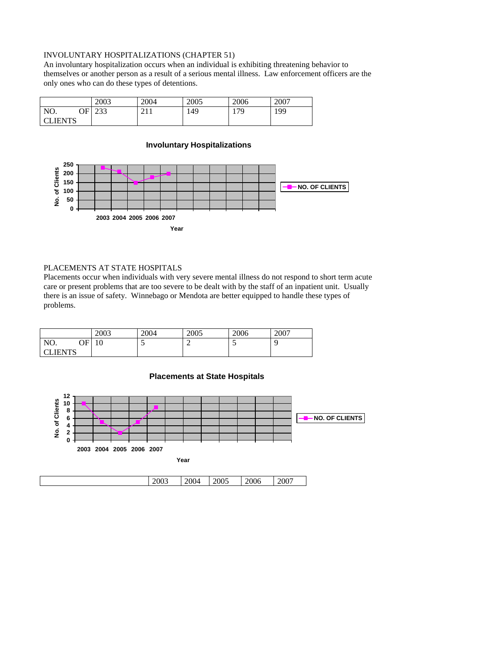# INVOLUNTARY HOSPITALIZATIONS (CHAPTER 51)

An involuntary hospitalization occurs when an individual is exhibiting threatening behavior to themselves or another person as a result of a serious mental illness. Law enforcement officers are the only ones who can do these types of detentions.

|                |    | 2003           | 2004 | 2005 | 2006 | 2007 |
|----------------|----|----------------|------|------|------|------|
| NO.            | ОF | $\cap$<br>ر رے | 411  | 149  | 179  | 199  |
| <b>CLIENTS</b> |    |                |      |      |      |      |

# **Involuntary Hospitalizations**



# PLACEMENTS AT STATE HOSPITALS

Placements occur when individuals with very severe mental illness do not respond to short term acute care or present problems that are too severe to be dealt with by the staff of an inpatient unit. Usually there is an issue of safety. Winnebago or Mendota are better equipped to handle these types of problems.

|                 | 2003     | 2004 | 2005 | 2006 | 2007 |
|-----------------|----------|------|------|------|------|
| NO.<br>OΕ<br>◡▴ | 10<br>ιv | ◡    | -    | ~    |      |
| <b>CLIENTS</b>  |          |      |      |      |      |



#### **Placements at State Hospitals**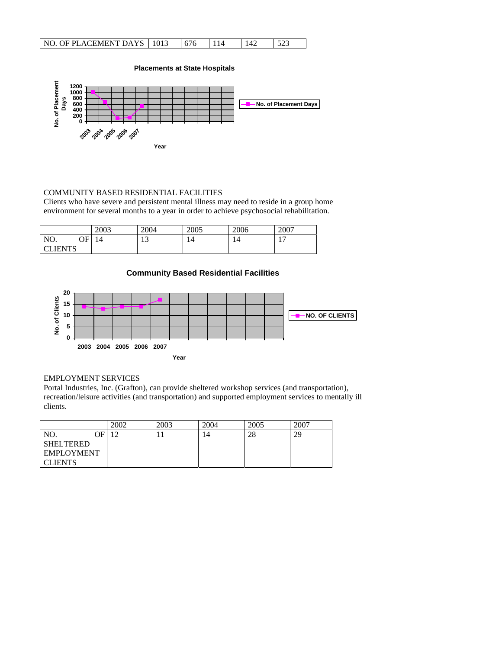| NO. OF PLACEMENT DAYS   1013 |  |  |  |
|------------------------------|--|--|--|
|                              |  |  |  |



# COMMUNITY BASED RESIDENTIAL FACILITIES

Clients who have severe and persistent mental illness may need to reside in a group home environment for several months to a year in order to achieve psychosocial rehabilitation.

|           | 2003 | 2004              | 2005 | 2006 | 2007                           |
|-----------|------|-------------------|------|------|--------------------------------|
| NO.<br>ОF | 14   | $1^{\circ}$<br>⊥⊃ |      | 14   | $\overline{\phantom{0}}$<br>л. |
| LIENTS    |      |                   |      |      |                                |



# EMPLOYMENT SERVICES

 $\overline{\phantom{a}}$ 

Portal Industries, Inc. (Grafton), can provide sheltered workshop services (and transportation), recreation/leisure activities (and transportation) and supported employment services to mentally ill clients.

|                |    | 2002   | 2003 | 2004 | 2005 | 2007 |
|----------------|----|--------|------|------|------|------|
| NO.            | ΩE | $\sim$ |      | 14   | 28   | 29   |
| SHELTERED      |    |        |      |      |      |      |
| EMPLOYMENT     |    |        |      |      |      |      |
| <b>CLIENTS</b> |    |        |      |      |      |      |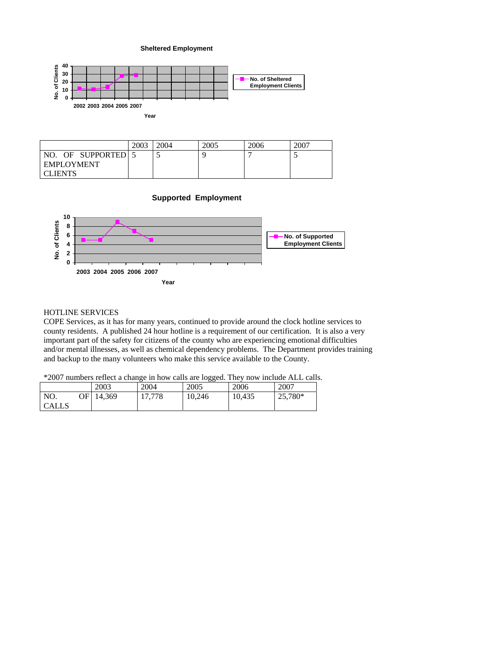#### **Sheltered Employment**





# HOTLINE SERVICES

COPE Services, as it has for many years, continued to provide around the clock hotline services to county residents. A published 24 hour hotline is a requirement of our certification. It is also a very important part of the safety for citizens of the county who are experiencing emotional difficulties and/or mental illnesses, as well as chemical dependency problems. The Department provides training and backup to the many volunteers who make this service available to the County.

# \*2007 numbers reflect a change in how calls are logged. They now include ALL calls.

|                            | 2003   | 2004   | 2005   | 2006   | 2007    |
|----------------------------|--------|--------|--------|--------|---------|
| NO.<br>ЭFІ<br><b>CALLS</b> | 14,369 | 17,778 | 10,246 | 10,435 | 25,780* |
|                            |        |        |        |        |         |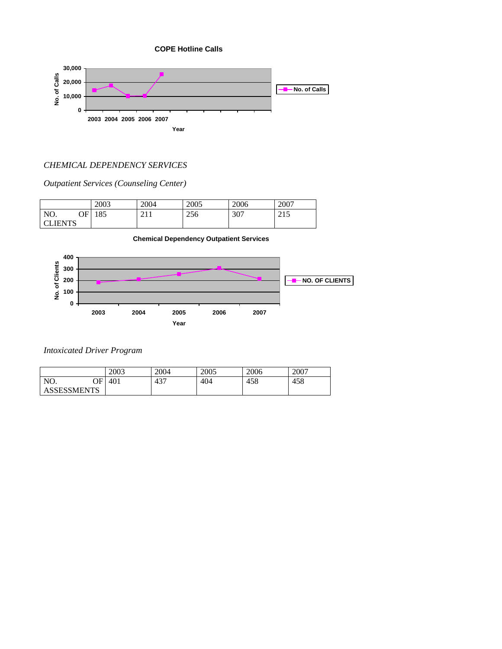

# *CHEMICAL DEPENDENCY SERVICES*

*Outpatient Services (Counseling Center)* 

|              | 2003 | 2004                | 2005 | 2006 | 2007                           |
|--------------|------|---------------------|------|------|--------------------------------|
| NO.<br>OF    | 185  | 211<br><u>_ 1</u> 1 | 256  | 307  | $\bigcap$ 1 $\bigcap$<br>ن 1 س |
| <b>IENTS</b> |      |                     |      |      |                                |



**Chemical Dependency Outpatient Services**

# *Intoxicated Driver Program*

|                    | 2003 | 2004 | 2005 | 2006 | 2007 |
|--------------------|------|------|------|------|------|
| NO.<br>ОF          | 401  | 437  | 404  | 458  | 458  |
| <b>ASSESSMENTS</b> |      |      |      |      |      |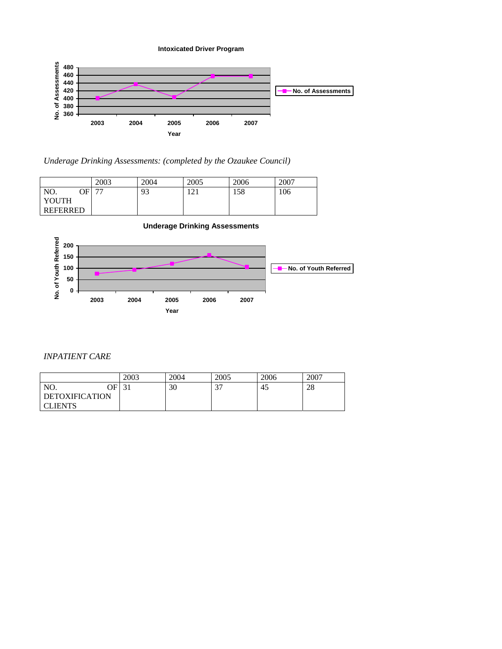**Intoxicated Driver Program**



*Underage Drinking Assessments: (completed by the Ozaukee Council)* 

|                 | 2003                     | 2004 | 2005                | 2006 | 2007 |
|-----------------|--------------------------|------|---------------------|------|------|
| NO.<br>ОF       | $\overline{\phantom{a}}$ | 93   | $1 \cap 1$<br>⊥ ∠ ⊥ | 158  | 106  |
| YOUTH           |                          |      |                     |      |      |
| <b>REFERRED</b> |                          |      |                     |      |      |



# *INPATIENT CARE*

|                       |                   | 2004 | 2005        | 2006 | 2007 |
|-----------------------|-------------------|------|-------------|------|------|
| ОF<br>NO.             | $\bigcap$ 1<br>JІ | 30   | $\sim$<br>◡ | 45   | 28   |
| <b>DETOXIFICATION</b> |                   |      |             |      |      |
| <b>CLIENTS</b>        |                   |      |             |      |      |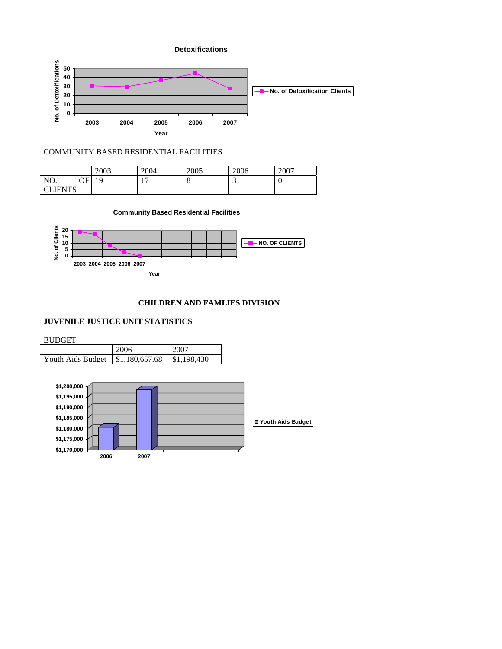

## COMMUNITY BASED RESIDENTIAL FACILITIES

|               | 2003            | 2004                            | 2005 | 2006 | 2007 |
|---------------|-----------------|---------------------------------|------|------|------|
| NO.<br>ОF     | 1 Q<br><b>T</b> | $\overline{\phantom{0}}$<br>. . | u    | -    | ິ    |
| <b>LIENTS</b> |                 |                                 |      |      |      |

#### **Community Based Residential Facilities**



# **CHILDREN AND FAMLIES DIVISION**

# **JUVENILE JUSTICE UNIT STATISTICS**

BUDGET

|                                              | 2006 | 2007                    |
|----------------------------------------------|------|-------------------------|
| Youth Aids Budget $\parallel$ \$1,180,657.68 |      | $\parallel$ \$1,198,430 |

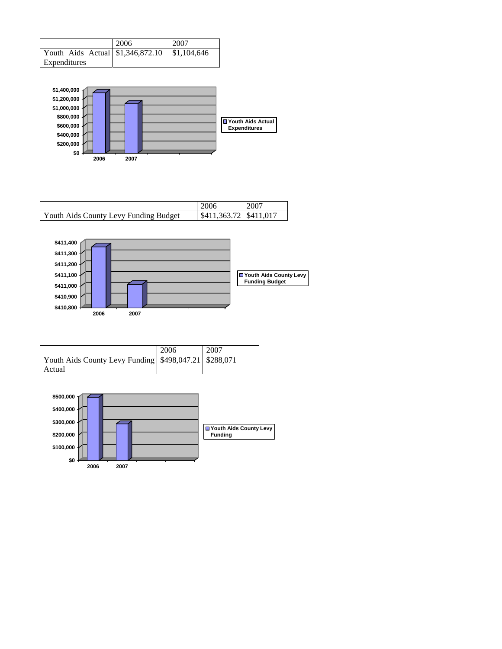|                                   | 2006 | 2007        |
|-----------------------------------|------|-------------|
| Youth Aids Actual \\$1,346,872.10 |      | \$1,104,646 |
| Expenditures                      |      |             |



|                                       | 2006                     | 2007 |
|---------------------------------------|--------------------------|------|
| Youth Aids County Levy Funding Budget | \$411,363,72 \ \$411,017 |      |



|                                                         | 2006 | 2007 |
|---------------------------------------------------------|------|------|
| Youth Aids County Levy Funding \\$498,047.21 \\$288,071 |      |      |
| Actual                                                  |      |      |

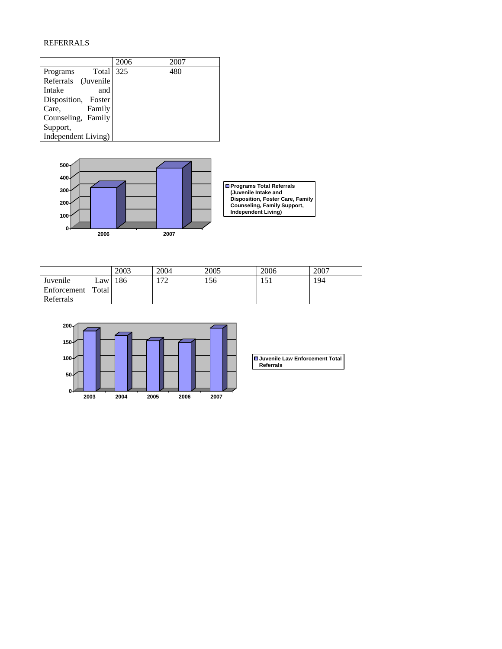# REFERRALS

|                     | 2006 | 2007 |
|---------------------|------|------|
| Total<br>Programs   | 325  | 480  |
| Referrals (Juvenile |      |      |
| Intake<br>and       |      |      |
| Disposition, Foster |      |      |
| Care,<br>Family     |      |      |
| Counseling, Family  |      |      |
| Support,            |      |      |
| Independent Living) |      |      |



**Programs Total Referrals (Juvenile Intake and Disposition, Foster Care, Family Counseling, Family Support, Independent Living)**

|             |              | 2003 | 2004 | 2005 | 2006            | 2007 |
|-------------|--------------|------|------|------|-----------------|------|
| Juvenile    | $\text{Law}$ | 186  | ר ד  | 56   | $\leq$<br>1 J 1 | 194  |
| Enforcement | Total        |      |      |      |                 |      |
| Referrals   |              |      |      |      |                 |      |



| Juvenile Law Enforcement Total |  |
|--------------------------------|--|
| <b>Referrals</b>               |  |
|                                |  |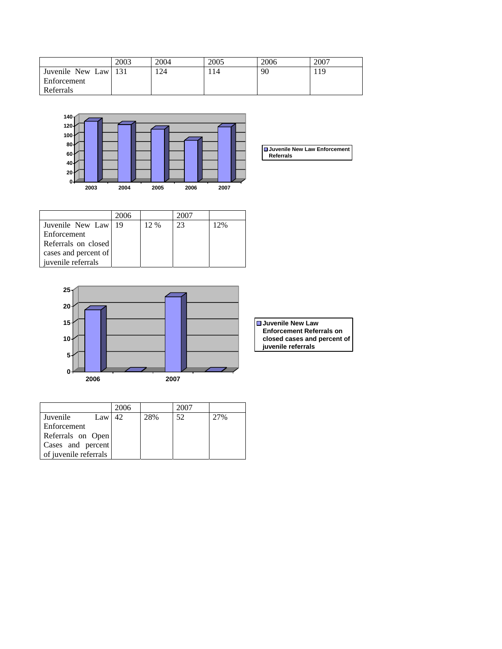|                  | 2003 | 2004 | 2005 | 2006 | 2007 |
|------------------|------|------|------|------|------|
| Juvenile New Law | -131 | 24   | l 14 | 90   | 119  |
| Enforcement      |      |      |      |      |      |
| Referrals        |      |      |      |      |      |



|                      | 2006 |      | 2007 |     |
|----------------------|------|------|------|-----|
| Juvenile New Law     | -19  | 12 % | 23   | 12% |
| Enforcement          |      |      |      |     |
| Referrals on closed  |      |      |      |     |
| cases and percent of |      |      |      |     |
| juvenile referrals   |      |      |      |     |



|                       | 2006 |     | 2007 |     |
|-----------------------|------|-----|------|-----|
| Juvenile<br>Law       | 42.  | 28% | 52   | 27% |
| Enforcement           |      |     |      |     |
| Referrals on Open     |      |     |      |     |
| Cases and percent     |      |     |      |     |
| of juvenile referrals |      |     |      |     |

| ■ Juvenile New Law              |
|---------------------------------|
| <b>Enforcement Referrals on</b> |
| closed cases and percent of     |
| juvenile referrals              |

**Juvenile New Law Enforcement Referrals**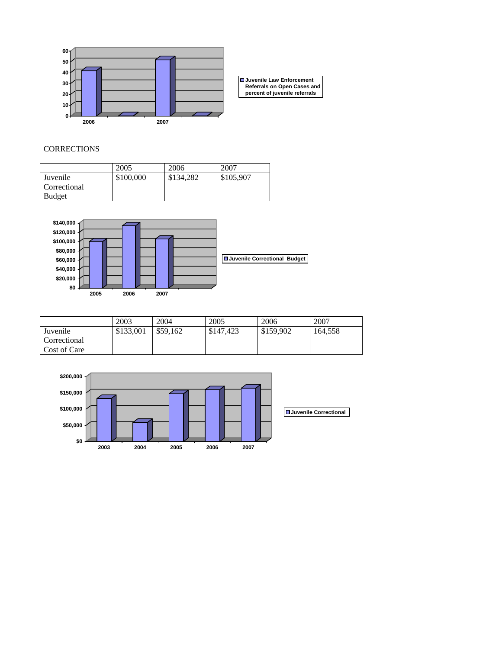

# **CORRECTIONS**

|               | 2005      | 2006      | 2007      |
|---------------|-----------|-----------|-----------|
| Juvenile      | \$100,000 | \$134,282 | \$105,907 |
| Correctional  |           |           |           |
| <b>Budget</b> |           |           |           |



|              | 2003      | 2004     | 2005      | 2006      | 2007    |
|--------------|-----------|----------|-----------|-----------|---------|
| Juvenile     | \$133,001 | \$59.162 | \$147,423 | \$159,902 | 164.558 |
| Correctional |           |          |           |           |         |
| Cost of Care |           |          |           |           |         |

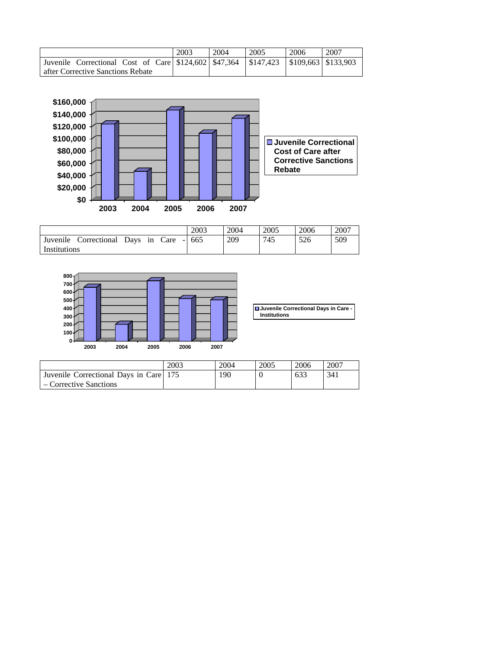|                                                                                     | 2003 | 2004 | 2005 | 2006 | 2007 |
|-------------------------------------------------------------------------------------|------|------|------|------|------|
| Juvenile Correctional Cost of Care \$124,602 \$47,364 \$147,423 \$109,663 \$133,903 |      |      |      |      |      |
| after Corrective Sanctions Rebate                                                   |      |      |      |      |      |



|                                             | 2003 | 2004 | 2005 | 2006 | 2007 |
|---------------------------------------------|------|------|------|------|------|
| Juvenile<br>Correctional Days in Care - 665 |      | 209  | 745  | 526  | 509  |
| Institutions                                |      |      |      |      |      |



|                                        | 2003 | 2004 | 2005 | 2006 | 2007 |
|----------------------------------------|------|------|------|------|------|
| Juvenile Correctional Days in Care 175 |      | 190  |      | 633  | 341  |
| – Corrective Sanctions                 |      |      |      |      |      |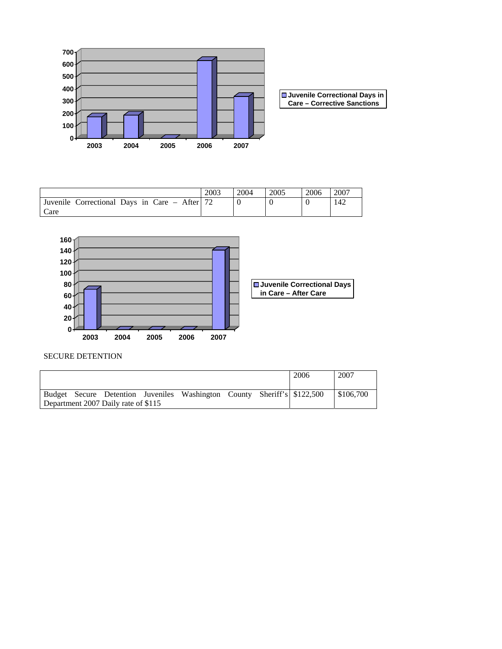

|                                               | 2003 | 2004 | 2005 | 2006 | 2007 |
|-----------------------------------------------|------|------|------|------|------|
| Juvenile Correctional Days in Care – After 72 |      |      |      |      | 142  |
| care                                          |      |      |      |      |      |



# SECURE DETENTION

|                                     |  |  |                                                                         |  |  | 2006 | 2007      |  |
|-------------------------------------|--|--|-------------------------------------------------------------------------|--|--|------|-----------|--|
|                                     |  |  |                                                                         |  |  |      |           |  |
|                                     |  |  | Budget Secure Detention Juveniles Washington County Sheriff's \$122,500 |  |  |      | \$106,700 |  |
| Department 2007 Daily rate of \$115 |  |  |                                                                         |  |  |      |           |  |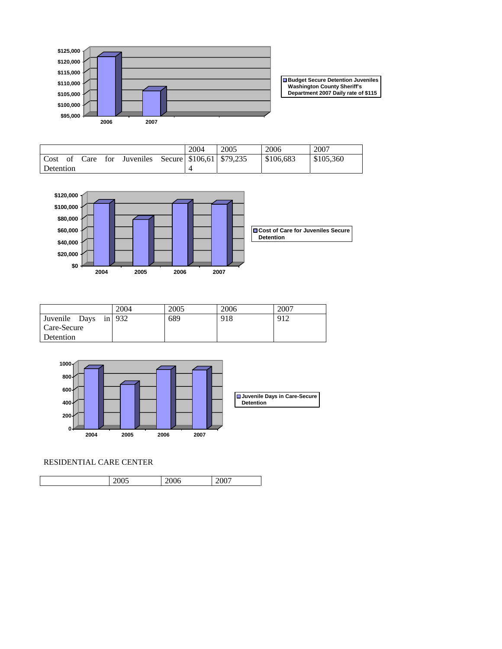

**Budget Secure Detention Juveniles Washington County Sheriff's Department 2007 Daily rate of \$115**

|           |  |                                                     | 2004 | 2005 | 2006      | 2007      |
|-----------|--|-----------------------------------------------------|------|------|-----------|-----------|
|           |  | Cost of Care for Juveniles Secure \$106,61 \$79,235 |      |      | \$106.683 | \$105,360 |
| Detention |  |                                                     |      |      |           |           |



|                      | 2004 | 2005 | 2006 | 2007 |
|----------------------|------|------|------|------|
| Juvenile Days in 932 |      | 689  | 918  | 912  |
| Care-Secure          |      |      |      |      |
| Detention            |      |      |      |      |



# RESIDENTIAL CARE CENTER

| 2005 | 2006 | 2007 |
|------|------|------|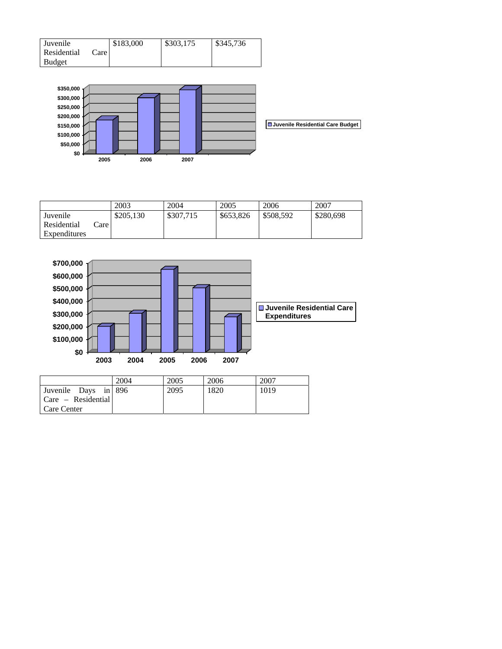| Juvenile    |      | \$183,000 | \$303,175 | \$345.736 |
|-------------|------|-----------|-----------|-----------|
| Residential | Care |           |           |           |
| Budget      |      |           |           |           |



|              |      | 2003      | 2004      | 2005      | 2006      | 2007      |
|--------------|------|-----------|-----------|-----------|-----------|-----------|
| Juvenile     |      | \$205,130 | \$307,715 | \$653,826 | \$508.592 | \$280,698 |
| Residential  | Care |           |           |           |           |           |
| Expenditures |      |           |           |           |           |           |



|                            | 2004 | 2005 | 2006 | 2007 |
|----------------------------|------|------|------|------|
| Juvenile Days in 896       |      | 2095 | 1820 | 1019 |
| $\vert$ Care – Residential |      |      |      |      |
| Care Center                |      |      |      |      |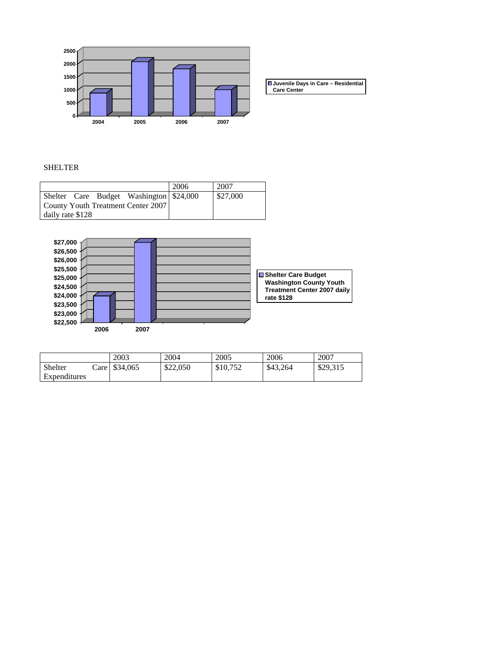

**Juvenile Days in Care – Residential Care Center**

# SHELTER

|                  |                                    |                                          | 2006 | 2007     |
|------------------|------------------------------------|------------------------------------------|------|----------|
|                  |                                    | Shelter Care Budget Washington \\$24,000 |      | \$27,000 |
|                  | County Youth Treatment Center 2007 |                                          |      |          |
| daily rate \$128 |                                    |                                          |      |          |



|              |       | 2003     | 2004     | 2005     | 2006     | 2007     |
|--------------|-------|----------|----------|----------|----------|----------|
| Shelter      | ∠are∣ | \$34,065 | \$22,050 | \$10,752 | \$43.264 | \$29,315 |
| Expenditures |       |          |          |          |          |          |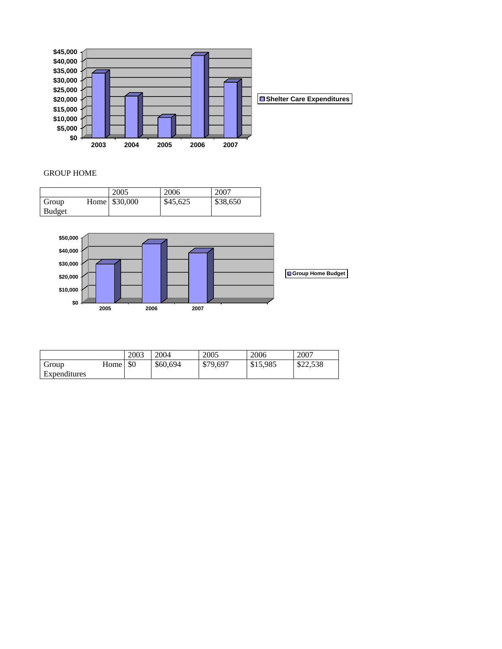

# GROUP HOME

|               | 2005           | 2006     | 2007     |
|---------------|----------------|----------|----------|
| Group         | Home \\$30,000 | \$45,625 | \$38,650 |
| <b>Budget</b> |                |          |          |



|              |      | 2003 | 2004     | 2005     | 2006     | 2007     |
|--------------|------|------|----------|----------|----------|----------|
| Group        | Home | \$0  | \$60,694 | \$79,697 | \$15,985 | \$22,538 |
| Expenditures |      |      |          |          |          |          |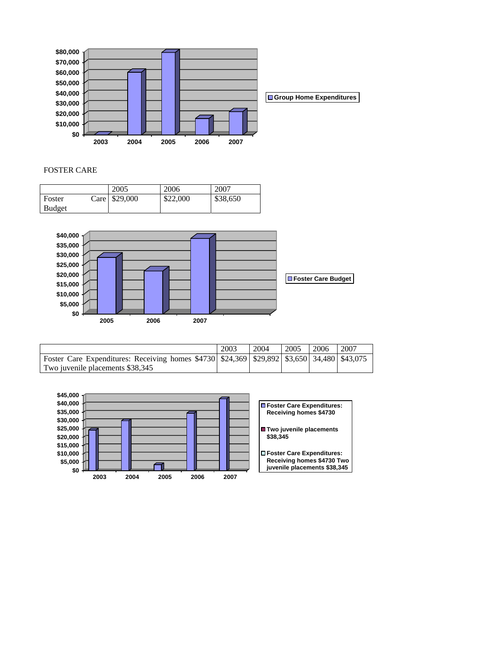

## FOSTER CARE

|               | 2005          | 2006     | 2007     |
|---------------|---------------|----------|----------|
| Foster        | Care \$29,000 | \$22,000 | \$38,650 |
| <b>Budget</b> |               |          |          |



|                                                                                                      | 2003 | 2004 | 2005 | 2006 | 2007 |
|------------------------------------------------------------------------------------------------------|------|------|------|------|------|
| Foster Care Expenditures: Receiving homes \$4730 \ \$24,369 \ \$29,892 \ \$3,650 \ 34,480 \ \$43,075 |      |      |      |      |      |
| Two juvenile placements \$38,345                                                                     |      |      |      |      |      |

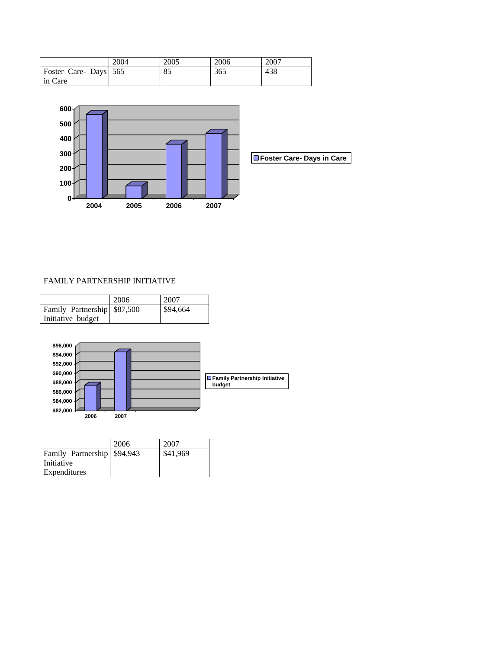|                                 | 2004 | 2005 | 2006 | 2007 |
|---------------------------------|------|------|------|------|
| Foster Care-Days 565<br>in Care |      | 85   | 365  | 438  |



# FAMILY PARTNERSHIP INITIATIVE

|                              | 2006 | 2007     |
|------------------------------|------|----------|
| Family Partnership \\$87,500 |      | \$94,664 |
| Initiative budget            |      |          |



|                              | 2006 | 2007     |
|------------------------------|------|----------|
| Family Partnership \\$94,943 |      | \$41,969 |
| Initiative                   |      |          |
| Expenditures                 |      |          |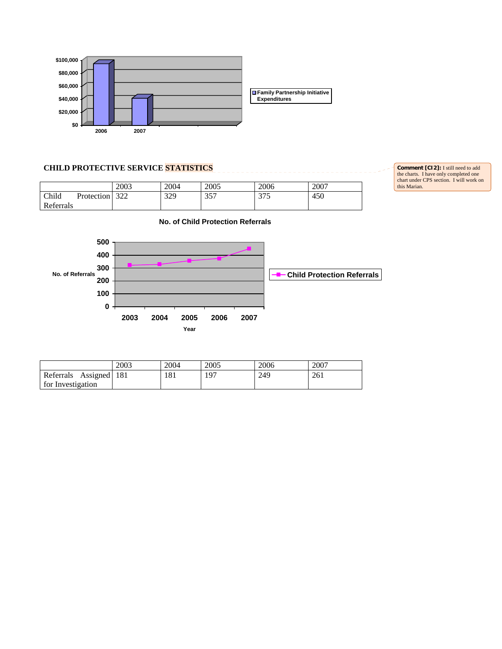

# **CHILD PROTECTIVE SERVICE STATISTICS**

| 2003 | 2004 | 2005 | 2006 | 2007 Child Protection Referrals 322 329 357 375 450

**Comment [CI2]:** I still need to add the charts. I have only completed one chart under CPS section. I will work on this Marian.



|                           | 2003 | 2004 | 2005 | 2006 | 2007 |
|---------------------------|------|------|------|------|------|
| Assigned 181<br>Referrals |      | 181  | 197  | 249  | 261  |
| for Investigation         |      |      |      |      |      |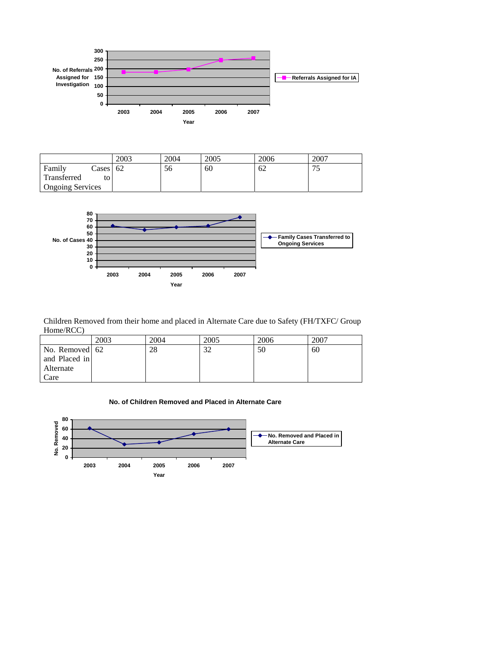

|                         |          | 2003 | 2004 | 2005 | 2006 | 2007                            |
|-------------------------|----------|------|------|------|------|---------------------------------|
| Family                  | Cases 62 |      | эo   | 60   | 62   | — r<br>$\overline{\phantom{0}}$ |
| Transferred             |          |      |      |      |      |                                 |
| <b>Ongoing Services</b> |          |      |      |      |      |                                 |



Children Removed from their home and placed in Alternate Care due to Safety (FH/TXFC/ Group Home/RCC)

|                | 2003 | 2004 | 2005 | 2006 | 2007 |
|----------------|------|------|------|------|------|
| No. Removed 62 |      | 28   | 32   | 50   | 60   |
| and Placed in  |      |      |      |      |      |
| Alternate      |      |      |      |      |      |
| Care           |      |      |      |      |      |



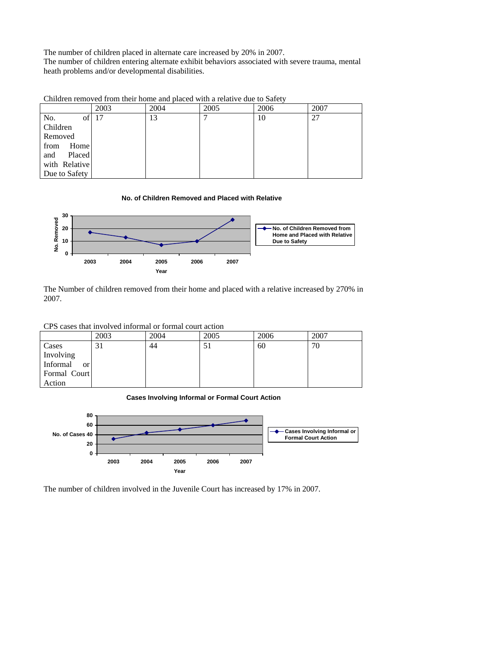The number of children placed in alternate care increased by 20% in 2007. The number of children entering alternate exhibit behaviors associated with severe trauma, mental heath problems and/or developmental disabilities.

Children removed from their home and placed with a relative due to Safety

|                 | 2003 | 2004 | 2005 | 2006 | 2007 |
|-----------------|------|------|------|------|------|
| No.<br>of       | 17   | 13   |      | 10   | 27   |
| <b>Children</b> |      |      |      |      |      |
| Removed         |      |      |      |      |      |
| Home<br>from    |      |      |      |      |      |
| Placed<br>and   |      |      |      |      |      |
| with Relative   |      |      |      |      |      |
| Due to Safety   |      |      |      |      |      |

**No. of Children Removed and Placed with Relative**



The Number of children removed from their home and placed with a relative increased by 270% in 2007.

CPS cases that involved informal or formal court action

|                           | 2003 | 2004 | 2005 | 2006 | 2007 |
|---------------------------|------|------|------|------|------|
| Cases                     | 31   | 44   | 51   | 60   | 70   |
| Involving                 |      |      |      |      |      |
| Informal<br><sub>or</sub> |      |      |      |      |      |
| Formal Court              |      |      |      |      |      |
| Action                    |      |      |      |      |      |

**Cases Involving Informal or Formal Court Action**



The number of children involved in the Juvenile Court has increased by 17% in 2007.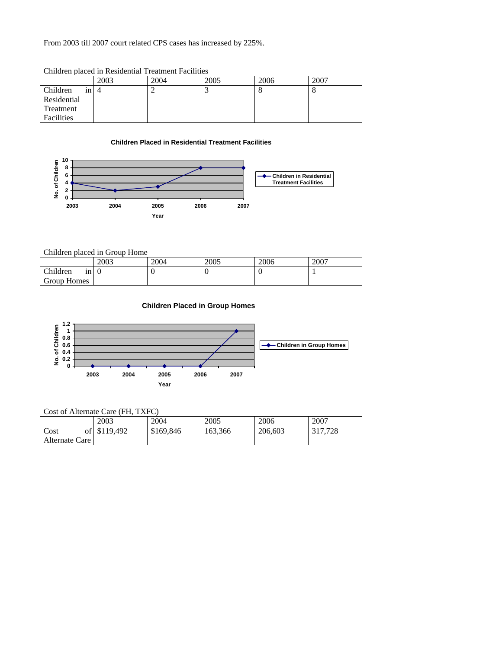From 2003 till 2007 court related CPS cases has increased by 225%.

|                | Christon Diacou in regraement frequinem Facilities |      |      |      |      |  |  |  |  |
|----------------|----------------------------------------------------|------|------|------|------|--|--|--|--|
|                | 2003                                               | 2004 | 2005 | 2006 | 2007 |  |  |  |  |
| Children<br>1n |                                                    |      |      |      |      |  |  |  |  |
| Residential    |                                                    |      |      |      |      |  |  |  |  |
| Treatment      |                                                    |      |      |      |      |  |  |  |  |
| Facilities     |                                                    |      |      |      |      |  |  |  |  |

Children placed in Residential Treatment Facilities

# **Children Placed in Residential Treatment Facilities**



# Children placed in Group Home

|                  | 2003 | 2004 | 2005 | 2006 | 2007 |
|------------------|------|------|------|------|------|
| Children<br>ın I |      | .,   | v    |      |      |
| Group Homes      |      |      |      |      |      |

# **Children Placed in Group Homes**



# Cost of Alternate Care (FH, TXFC)

|                | 2003         | 2004      | 2005    | 2006    | 2007    |
|----------------|--------------|-----------|---------|---------|---------|
| Cost           | of \$119,492 | \$169,846 | 163.366 | 206,603 | 317.728 |
| Alternate Care |              |           |         |         |         |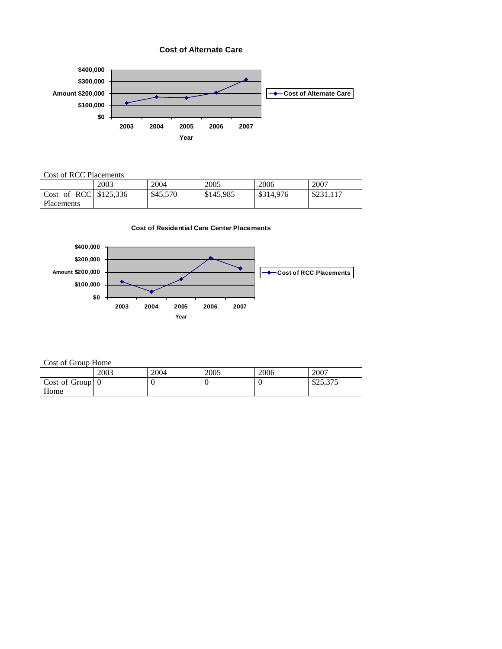**Cost of Alternate Care**



# Cost of RCC Placements

|                                       | 2003 | 2004     | 2005      | 2006      | 2007      |
|---------------------------------------|------|----------|-----------|-----------|-----------|
| $\vert$ Cost of RCC $\vert$ \$125,336 |      | \$45,570 | \$145,985 | \$314,976 | \$231,117 |
| Placements                            |      |          |           |           |           |

**Cost of Residential Care Center Placements**



# Cost of Group Home

|                                 | 2003 | 2004 | 2005 | 2006 | 2007     |
|---------------------------------|------|------|------|------|----------|
| $\vert$ Cost of Group $\vert$ 0 |      |      |      |      | \$25,375 |
| Home                            |      |      |      |      |          |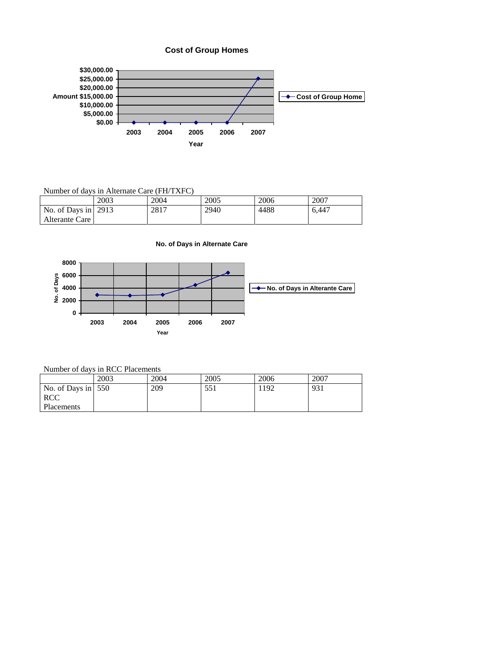



Number of days in Alternate Care (FH/TXFC)

|                             | 2003 | 2004 | 2005 | 2006 | 2007  |
|-----------------------------|------|------|------|------|-------|
| No. of Days in $\vert$ 2913 |      | 2817 | 2940 | 4488 | 6.447 |
| Alterante Care              |      |      |      |      |       |

**No. of Days in Alternate Care**



Number of days in RCC Placements

|                                  | 2003 | 2004 | 2005 | 2006 | 2007 |
|----------------------------------|------|------|------|------|------|
| No. of Days in $\vert 550 \vert$ |      | 209  | 551  | 192  | 931  |
| <b>RCC</b>                       |      |      |      |      |      |
| Placements                       |      |      |      |      |      |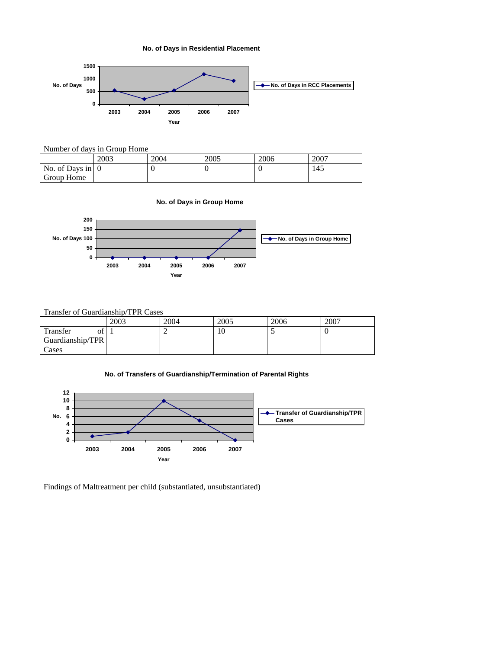**No. of Days in Residential Placement**



# Number of days in Group Home

|                                | 2003 | 2004 | 2005 | 2006 | 2007 |
|--------------------------------|------|------|------|------|------|
| No. of Days in $\vert 0 \vert$ |      |      |      |      | 145  |
| <b>Group Home</b>              |      |      |      |      |      |

#### **No. of Days in Group Home**



# Transfer of Guardianship/TPR Cases

|                  | 2003 | 2004 | 2005 | 2006 | 2007 |
|------------------|------|------|------|------|------|
| Transfer<br>Ωt   |      |      | 10   |      |      |
| Guardianship/TPR |      |      |      |      |      |
| Cases            |      |      |      |      |      |

# **No. of Transfers of Guardianship/Termination of Parental Rights**



Findings of Maltreatment per child (substantiated, unsubstantiated)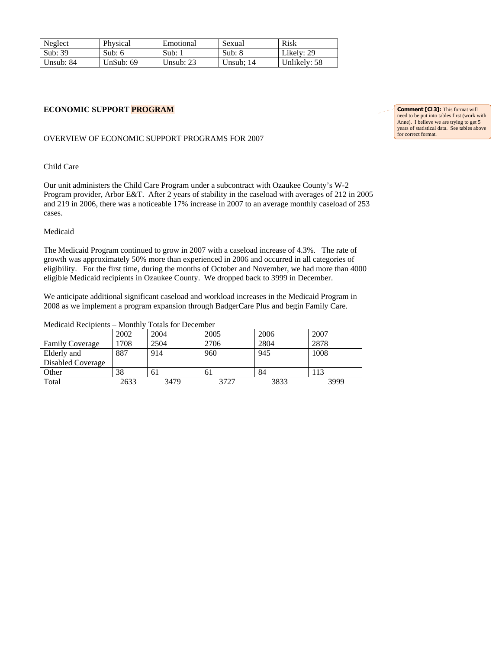| Neglect   | Physical  | Emotional          | Sexual    | Risk         |
|-----------|-----------|--------------------|-----------|--------------|
| Sub: 39   | Sub: $6$  | $Sub: \mathcal{L}$ | Sub: $8$  | Likely: 29   |
| Unsub: 84 | UnSub: 69 | Unsub: $23$        | Unsub: 14 | Unlikely: 58 |

# **ECONOMIC SUPPORT PROGRAM**

#### OVERVIEW OF ECONOMIC SUPPORT PROGRAMS FOR 2007

### Child Care

Our unit administers the Child Care Program under a subcontract with Ozaukee County's W-2 Program provider, Arbor E&T. After 2 years of stability in the caseload with averages of 212 in 2005 and 219 in 2006, there was a noticeable 17% increase in 2007 to an average monthly caseload of 253 cases.

#### Medicaid

The Medicaid Program continued to grow in 2007 with a caseload increase of 4.3%. The rate of growth was approximately 50% more than experienced in 2006 and occurred in all categories of eligibility. For the first time, during the months of October and November, we had more than 4000 eligible Medicaid recipients in Ozaukee County. We dropped back to 3999 in December.

We anticipate additional significant caseload and workload increases in the Medicaid Program in 2008 as we implement a program expansion through BadgerCare Plus and begin Family Care.

Medicaid Recipients – Monthly Totals for December

|                        | 2002 | 2004 | 2005 | 2006 | 2007 |
|------------------------|------|------|------|------|------|
| <b>Family Coverage</b> | 1708 | 2504 | 2706 | 2804 | 2878 |
| Elderly and            | 887  | 914  | 960  | 945  | 1008 |
| Disabled Coverage      |      |      |      |      |      |
| Other                  | 38   | 61   | 61   | 84   | 113  |
| Total                  | 2633 | 3479 | 3727 | 3833 | 3999 |

**Comment [CI3]:** This format will need to be put into tables first (work with Anne). I believe we are trying to get 5 years of statistical data. See tables above for correct format.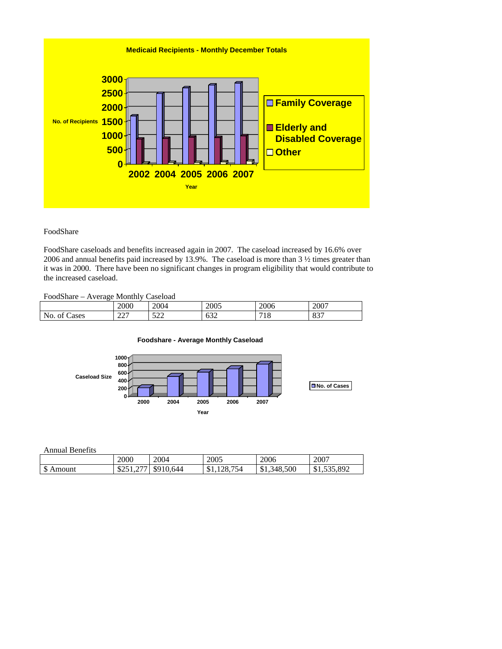

# FoodShare

FoodShare caseloads and benefits increased again in 2007. The caseload increased by 16.6% over 2006 and annual benefits paid increased by 13.9%. The caseload is more than 3 ½ times greater than it was in 2000. There have been no significant changes in program eligibility that would contribute to the increased caseload.

# FoodShare – Average Monthly Caseload

|                         | 2000                               | 2004                  | 2005           | 2006       | 2007        |
|-------------------------|------------------------------------|-----------------------|----------------|------------|-------------|
| ∽<br>Cases<br>ΟĪ<br>NO. | $\sim$<br>$\overline{\phantom{m}}$ | $\sim$ $\sim$<br>ىسىر | $\sim$<br>v.JZ | 710<br>1 U | 027<br>0J I |

#### **Foodshare - Average Monthly Caseload**



Annual Benefits

|                 | 2000              | 2004      | 2005               | 2006        | 2007           |
|-----------------|-------------------|-----------|--------------------|-------------|----------------|
| ــه<br>S Amount | $\sim$<br>02.11.2 | \$910,644 | 128.<br>754<br>۱D. | \$1,348,500 | 535.892<br>ሱ 1 |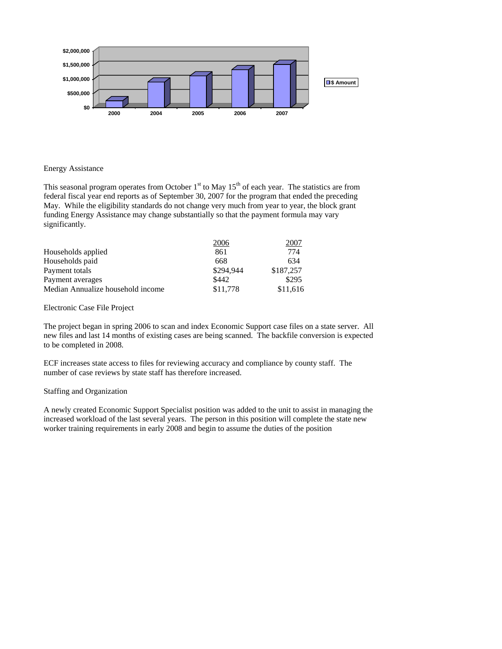

#### Energy Assistance

This seasonal program operates from October  $1<sup>st</sup>$  to May  $15<sup>th</sup>$  of each year. The statistics are from federal fiscal year end reports as of September 30, 2007 for the program that ended the preceding May. While the eligibility standards do not change very much from year to year, the block grant funding Energy Assistance may change substantially so that the payment formula may vary significantly.

|                                   | 2006      | 2001      |
|-----------------------------------|-----------|-----------|
| Households applied                | 861       | 774       |
| Households paid                   | 668       | 634       |
| Payment totals                    | \$294.944 | \$187.257 |
| Payment averages                  | \$442     | \$295     |
| Median Annualize household income | \$11.778  | \$11,616  |

Electronic Case File Project

The project began in spring 2006 to scan and index Economic Support case files on a state server. All new files and last 14 months of existing cases are being scanned. The backfile conversion is expected to be completed in 2008.

ECF increases state access to files for reviewing accuracy and compliance by county staff. The number of case reviews by state staff has therefore increased.

# Staffing and Organization

A newly created Economic Support Specialist position was added to the unit to assist in managing the increased workload of the last several years. The person in this position will complete the state new worker training requirements in early 2008 and begin to assume the duties of the position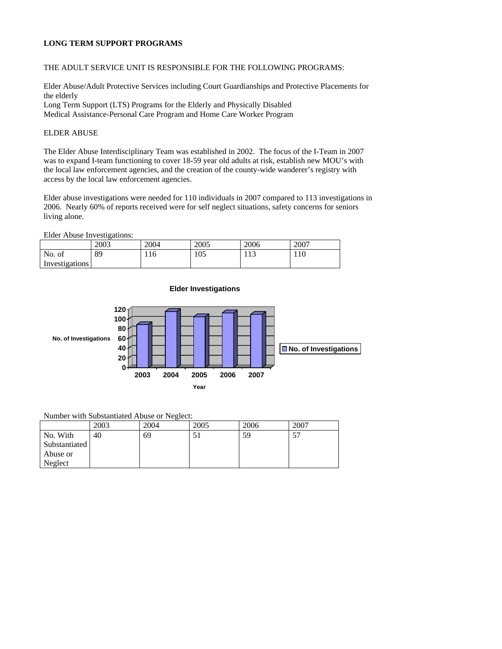# **LONG TERM SUPPORT PROGRAMS**

# THE ADULT SERVICE UNIT IS RESPONSIBLE FOR THE FOLLOWING PROGRAMS:

Elder Abuse/Adult Protective Services including Court Guardianships and Protective Placements for the elderly Long Term Support (LTS) Programs for the Elderly and Physically Disabled Medical Assistance-Personal Care Program and Home Care Worker Program

#### ELDER ABUSE

The Elder Abuse Interdisciplinary Team was established in 2002. The focus of the I-Team in 2007 was to expand I-team functioning to cover 18-59 year old adults at risk, establish new MOU's with the local law enforcement agencies, and the creation of the county-wide wanderer's registry with access by the local law enforcement agencies.

Elder abuse investigations were needed for 110 individuals in 2007 compared to 113 investigations in 2006. Nearly 60% of reports received were for self neglect situations, safety concerns for seniors living alone.

Elder Abuse Investigations:

|                | 2003 | 2004 | 2005 | 2006 | 2007 |
|----------------|------|------|------|------|------|
| No.<br>ОI      | 89   | 116  | 105  | 113  | 110  |
| Investigations |      |      |      |      |      |



**Elder Investigations**

### Number with Substantiated Abuse or Neglect:

|               | 2003 | 2004 | 2005 | 2006 | 2007 |
|---------------|------|------|------|------|------|
| No. With      | 40   | 69   | IJ   | 59   | ا ب  |
| Substantiated |      |      |      |      |      |
| Abuse or      |      |      |      |      |      |
| Neglect       |      |      |      |      |      |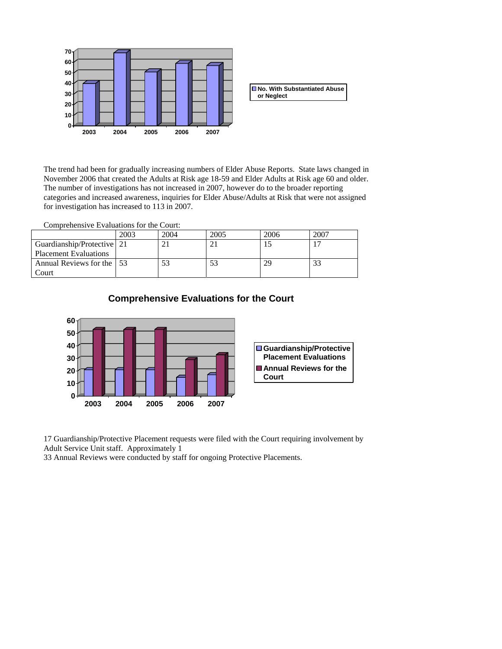

The trend had been for gradually increasing numbers of Elder Abuse Reports. State laws changed in November 2006 that created the Adults at Risk age 18-59 and Elder Adults at Risk age 60 and older. The number of investigations has not increased in 2007, however do to the broader reporting categories and increased awareness, inquiries for Elder Abuse/Adults at Risk that were not assigned for investigation has increased to 113 in 2007.

Comprehensive Evaluations for the Court:

|                              | 2003 | 2004 | 2005 | 2006 | 2007 |
|------------------------------|------|------|------|------|------|
| Guardianship/Protective   21 |      |      |      |      |      |
| <b>Placement Evaluations</b> |      |      |      |      |      |
| Annual Reviews for the 153   |      |      |      | 29   |      |
| .`ourt                       |      |      |      |      |      |



**Comprehensive Evaluations for the Court**

17 Guardianship/Protective Placement requests were filed with the Court requiring involvement by Adult Service Unit staff. Approximately 1

33 Annual Reviews were conducted by staff for ongoing Protective Placements.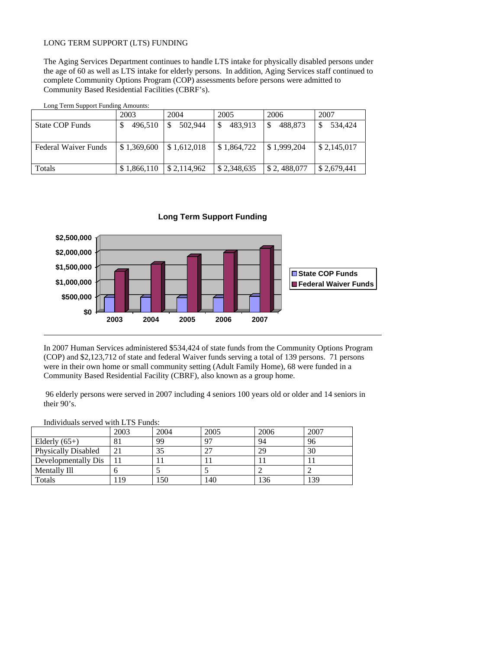# LONG TERM SUPPORT (LTS) FUNDING

The Aging Services Department continues to handle LTS intake for physically disabled persons under the age of 60 as well as LTS intake for elderly persons. In addition, Aging Services staff continued to complete Community Options Program (COP) assessments before persons were admitted to Community Based Residential Facilities (CBRF's).

Long Term Support Funding Amounts:

|                        | 2003        | 2004        | 2005                     | 2006                      | 2007        |
|------------------------|-------------|-------------|--------------------------|---------------------------|-------------|
| <b>State COP Funds</b> | 496,510     | 502.944     | <sup>\$</sup><br>483,913 | 488.873                   | 534.424     |
|                        |             |             |                          |                           |             |
|                        |             |             |                          |                           |             |
| Federal Waiver Funds   | \$1,369,600 | \$1,612,018 | \$1,864,722              | $\frac{1}{2}$ \$1,999,204 | \$2,145,017 |
|                        |             |             |                          |                           |             |
|                        |             |             |                          |                           |             |
| Totals                 | \$1,866,110 | \$2,114,962 | \$2,348,635              | \$ 2,488,077              | \$2,679,441 |

**Long Term Support Funding**



In 2007 Human Services administered \$534,424 of state funds from the Community Options Program (COP) and \$2,123,712 of state and federal Waiver funds serving a total of 139 persons. 71 persons were in their own home or small community setting (Adult Family Home), 68 were funded in a Community Based Residential Facility (CBRF), also known as a group home.

 96 elderly persons were served in 2007 including 4 seniors 100 years old or older and 14 seniors in their 90's.

#### Individuals served with LTS Funds:

|                            | 2003 | 2004 | 2005 | 2006 | 2007 |
|----------------------------|------|------|------|------|------|
| Elderly $(65+)$            | 81   | 99   | 07   | 94   | 96   |
| <b>Physically Disabled</b> | 21   | 35   | າາ   | 29   | 30   |
| Developmentally Dis        |      | . .  |      |      |      |
| Mentally Ill               |      |      |      |      |      |
| Totals                     | 19   | 150  | 140  | 136  | 139  |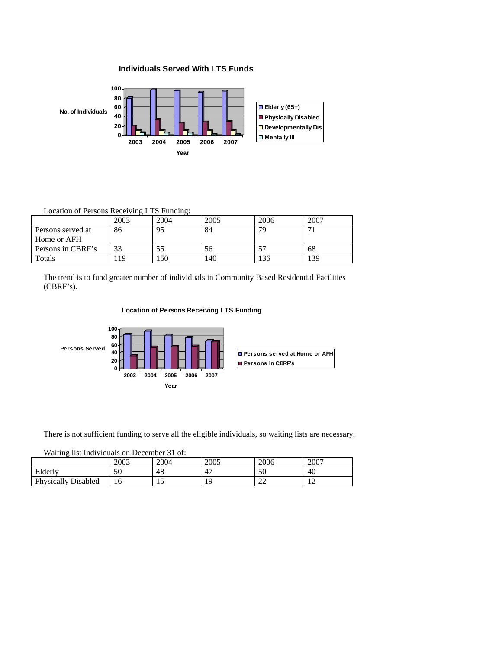# **Individuals Served With LTS Funds**



# Location of Persons Receiving LTS Funding:

|                   | 2003 | 2004 | 2005 | 2006 | 2007 |
|-------------------|------|------|------|------|------|
| Persons served at | 86   | 95   | 84   | 79   |      |
| Home or AFH       |      |      |      |      |      |
| Persons in CBRF's | 33   | 55   | эb   |      | 68   |
| Totals            | 19   | 50ء  | 140  | 136  | 39ء  |

The trend is to fund greater number of individuals in Community Based Residential Facilities (CBRF's).

# **Location of Persons Receiving LTS Funding**



There is not sufficient funding to serve all the eligible individuals, so waiting lists are necessary.

#### Waiting list Individuals on December 31 of:

|                            | 2003 | 2004 | 2005 | 2006         | 2007                          |
|----------------------------|------|------|------|--------------|-------------------------------|
| Elderly                    | 50   | 48   | 4    | 50           | 40                            |
| <b>Physically Disabled</b> | 1 V  | ⊥ J  |      | $\sim$<br>∠∠ | $\overline{\phantom{a}}$<br>∸ |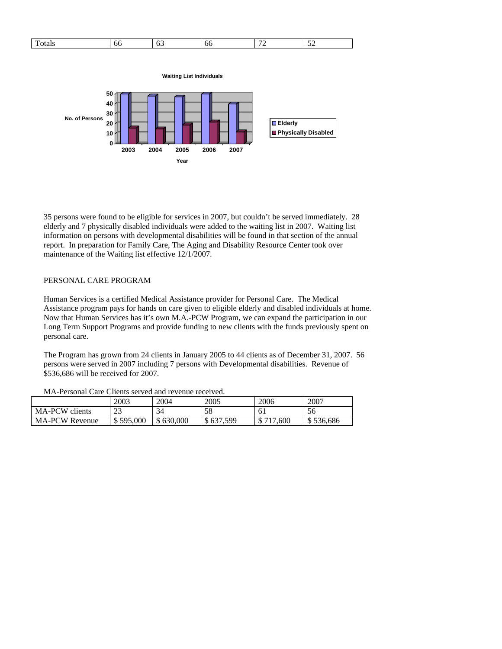| Ē | UU | nn | - | $-$<br>__ |
|---|----|----|---|-----------|
|   |    |    |   |           |

**Waiting List Individuals**



35 persons were found to be eligible for services in 2007, but couldn't be served immediately. 28 elderly and 7 physically disabled individuals were added to the waiting list in 2007. Waiting list information on persons with developmental disabilities will be found in that section of the annual report. In preparation for Family Care, The Aging and Disability Resource Center took over maintenance of the Waiting list effective 12/1/2007.

## PERSONAL CARE PROGRAM

Human Services is a certified Medical Assistance provider for Personal Care. The Medical Assistance program pays for hands on care given to eligible elderly and disabled individuals at home. Now that Human Services has it's own M.A.-PCW Program, we can expand the participation in our Long Term Support Programs and provide funding to new clients with the funds previously spent on personal care.

The Program has grown from 24 clients in January 2005 to 44 clients as of December 31, 2007. 56 persons were served in 2007 including 7 persons with Developmental disabilities. Revenue of \$536,686 will be received for 2007.

|                       | 2003      | 2004      | 2005      | 2006      | 2007      |
|-----------------------|-----------|-----------|-----------|-----------|-----------|
| MA-PCW clients        | 23        | 34        |           | 61        | 56        |
| <b>MA-PCW Revenue</b> | \$595,000 | \$630,000 | \$637,599 | \$717,600 | \$536,686 |

MA-Personal Care Clients served and revenue received.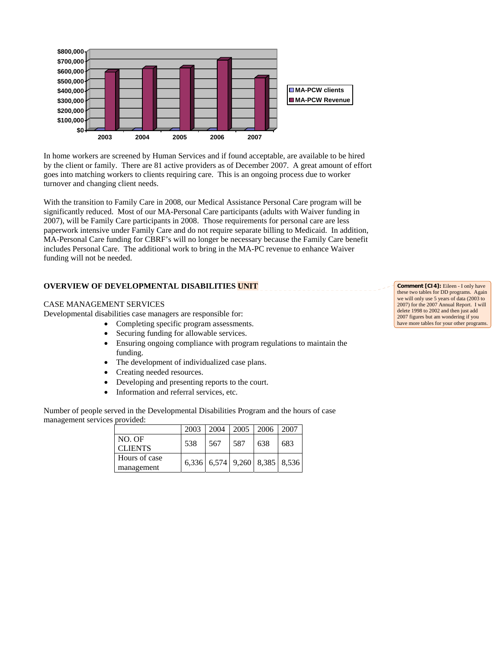

In home workers are screened by Human Services and if found acceptable, are available to be hired by the client or family. There are 81 active providers as of December 2007. A great amount of effort goes into matching workers to clients requiring care. This is an ongoing process due to worker turnover and changing client needs.

With the transition to Family Care in 2008, our Medical Assistance Personal Care program will be significantly reduced. Most of our MA-Personal Care participants (adults with Waiver funding in 2007), will be Family Care participants in 2008. Those requirements for personal care are less paperwork intensive under Family Care and do not require separate billing to Medicaid. In addition, MA-Personal Care funding for CBRF's will no longer be necessary because the Family Care benefit includes Personal Care. The additional work to bring in the MA-PC revenue to enhance Waiver funding will not be needed.

# **OVERVIEW OF DEVELOPMENTAL DISABILITIES UNIT**

# CASE MANAGEMENT SERVICES

Developmental disabilities case managers are responsible for:

- Completing specific program assessments.
- Securing funding for allowable services.
- Ensuring ongoing compliance with program regulations to maintain the funding.
- The development of individualized case plans.
- Creating needed resources.
- Developing and presenting reports to the court.
- Information and referral services, etc.

Number of people served in the Developmental Disabilities Program and the hours of case management services provided:

|                             |     |      | 2003   2004   2005   2006   2007 |     |     |
|-----------------------------|-----|------|----------------------------------|-----|-----|
| NO. OF<br><b>CLIENTS</b>    | 538 | -567 | 587                              | 638 | 683 |
| Hours of case<br>management |     |      | $6,336$ 6,574 9,260 8,385 8,536  |     |     |

**Comment [CI4]:** Eileen - I only have these two tables for DD programs. Again we will only use 5 years of data (2003 to 2007) for the 2007 Annual Report. I will delete 1998 to 2002 and then just add 2007 figures but am wondering if you have more tables for your other programs.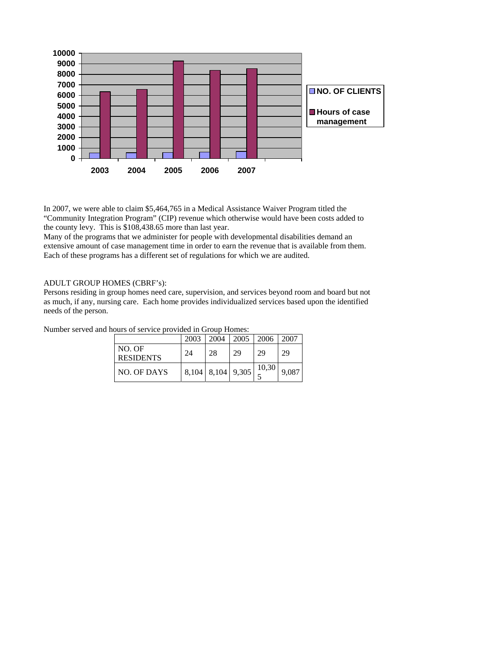

In 2007, we were able to claim \$5,464,765 in a Medical Assistance Waiver Program titled the "Community Integration Program" (CIP) revenue which otherwise would have been costs added to the county levy. This is \$108,438.65 more than last year.

Many of the programs that we administer for people with developmental disabilities demand an extensive amount of case management time in order to earn the revenue that is available from them. Each of these programs has a different set of regulations for which we are audited.

### ADULT GROUP HOMES (CBRF's):

Persons residing in group homes need care, supervision, and services beyond room and board but not as much, if any, nursing care. Each home provides individualized services based upon the identified needs of the person.

Number served and hours of service provided in Group Homes:

|                            | 2003  | 2004        | 2005 | 2006  | 2007  |
|----------------------------|-------|-------------|------|-------|-------|
| NO. OF<br><b>RESIDENTS</b> | 24    | 28          | 29   | 29    | 29    |
| NO. OF DAYS                | 8,104 | 8,104 9,305 |      | 10,30 | 9.087 |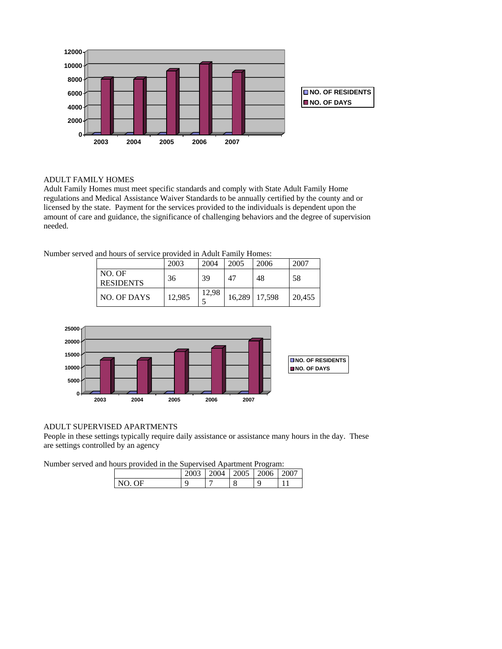

# ADULT FAMILY HOMES

Adult Family Homes must meet specific standards and comply with State Adult Family Home regulations and Medical Assistance Waiver Standards to be annually certified by the county and or licensed by the state. Payment for the services provided to the individuals is dependent upon the amount of care and guidance, the significance of challenging behaviors and the degree of supervision needed.

Number served and hours of service provided in Adult Family Homes:

|                            | 2003   | 2004  | 2005 | 2006            | 2007   |
|----------------------------|--------|-------|------|-----------------|--------|
| NO. OF<br><b>RESIDENTS</b> | 36     | 39    | 47   | 48              | 58     |
| NO. OF DAYS                | 12,985 | 12,98 |      | 16,289   17,598 | 20,455 |



# ADULT SUPERVISED APARTMENTS

People in these settings typically require daily assistance or assistance many hours in the day. These are settings controlled by an agency

Number served and hours provided in the Supervised Apartment Program:

|          | 0.002 | 2004 | 2005 | 006<br>vu | $200^{\circ}$ |
|----------|-------|------|------|-----------|---------------|
| NЕ<br>N0 |       |      | о    | Q         |               |
|          |       |      |      |           |               |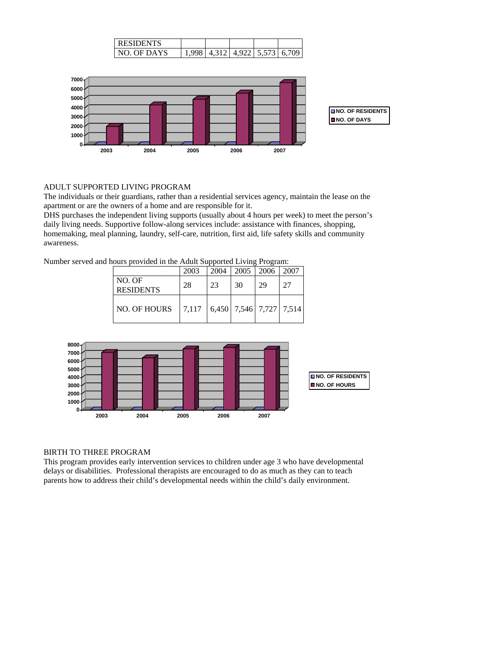| NIDENTS.   |              |                  |        |   |
|------------|--------------|------------------|--------|---|
| NO OF DAYS | $\Delta$ 312 | $A$ Q $22$ $\pm$ | 5.5731 | h |



# ADULT SUPPORTED LIVING PROGRAM

The individuals or their guardians, rather than a residential services agency, maintain the lease on the apartment or are the owners of a home and are responsible for it.

DHS purchases the independent living supports (usually about 4 hours per week) to meet the person's daily living needs. Supportive follow-along services include: assistance with finances, shopping, homemaking, meal planning, laundry, self-care, nutrition, first aid, life safety skills and community awareness.

Number served and hours provided in the Adult Supported Living Program:

|                            | 2003   |    | 2004   2005   2006   2007 |    |    |
|----------------------------|--------|----|---------------------------|----|----|
| NO. OF<br><b>RESIDENTS</b> | 28     | 23 | 30                        | 29 | 27 |
| NO. OF HOURS               | 17.117 |    | $6,450$ 7,546 7,727 7,514 |    |    |



#### BIRTH TO THREE PROGRAM

This program provides early intervention services to children under age 3 who have developmental delays or disabilities. Professional therapists are encouraged to do as much as they can to teach parents how to address their child's developmental needs within the child's daily environment.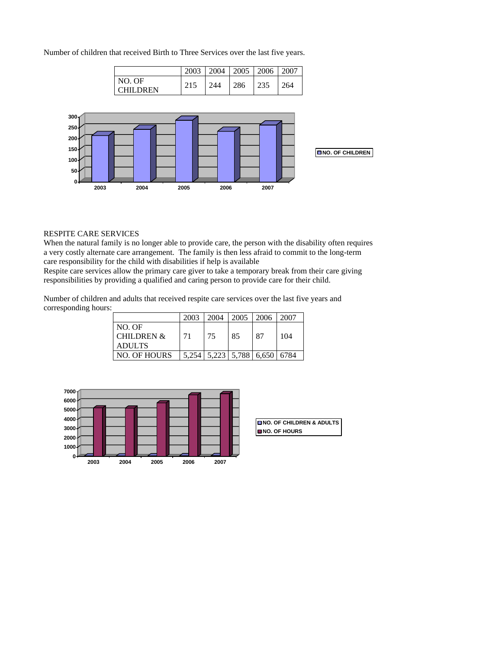Number of children that received Birth to Three Services over the last five years.

|                           | 2003 | 2004 | 2005   2006 |     | 2007 |
|---------------------------|------|------|-------------|-----|------|
| NO. OF<br><b>CHILDREN</b> |      | 244  | 286         | 235 | .64  |



#### RESPITE CARE SERVICES

When the natural family is no longer able to provide care, the person with the disability often requires a very costly alternate care arrangement. The family is then less afraid to commit to the long-term care responsibility for the child with disabilities if help is available

Respite care services allow the primary care giver to take a temporary break from their care giving responsibilities by providing a qualified and caring person to provide care for their child.

Number of children and adults that received respite care services over the last five years and corresponding hours:

|                       | 2003 |    |    | 2004   2005   2006   2007                   |     |
|-----------------------|------|----|----|---------------------------------------------|-----|
| NO. OF                |      |    |    |                                             |     |
| <b>CHILDREN &amp;</b> | 71   | 75 | 85 | 87                                          | 104 |
| <b>ADULTS</b>         |      |    |    |                                             |     |
| <b>NO. OF HOURS</b>   |      |    |    | $\mid$ 5,254   5,223   5,788   6,650   6784 |     |

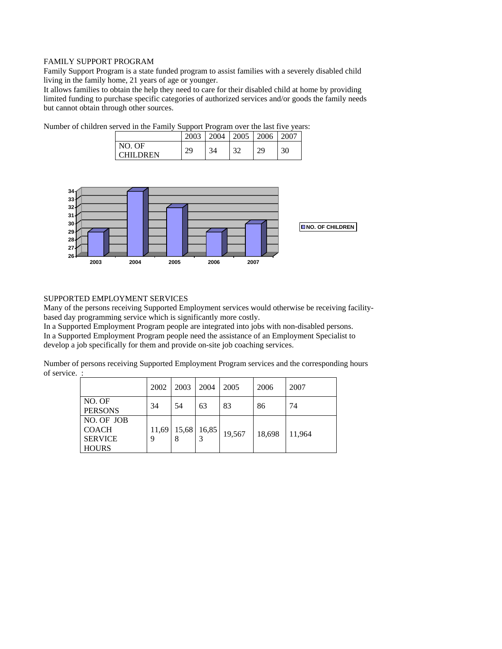#### FAMILY SUPPORT PROGRAM

Family Support Program is a state funded program to assist families with a severely disabled child living in the family home, 21 years of age or younger.

It allows families to obtain the help they need to care for their disabled child at home by providing limited funding to purchase specific categories of authorized services and/or goods the family needs but cannot obtain through other sources.

|                       | 2003     | 2004 | 2005   | 2006      |    |
|-----------------------|----------|------|--------|-----------|----|
| NO. OF<br><b>DREN</b> | ാ<br>ر ب | 34   | $\sim$ | າດ<br>تسک | 30 |

Number of children served in the Family Support Program over the last five years:



# SUPPORTED EMPLOYMENT SERVICES

Many of the persons receiving Supported Employment services would otherwise be receiving facilitybased day programming service which is significantly more costly.

In a Supported Employment Program people are integrated into jobs with non-disabled persons. In a Supported Employment Program people need the assistance of an Employment Specialist to develop a job specifically for them and provide on-site job coaching services.

Number of persons receiving Supported Employment Program services and the corresponding hours of service. :

|                                                              | 2002 | 2003               | 2004  | 2005   | 2006   | 2007   |
|--------------------------------------------------------------|------|--------------------|-------|--------|--------|--------|
| NO. OF<br><b>PERSONS</b>                                     | 34   | 54                 | 63    | 83     | 86     | 74     |
| NO. OF JOB<br><b>COACH</b><br><b>SERVICE</b><br><b>HOURS</b> |      | 11,69   15,68<br>8 | 16,85 | 19,567 | 18,698 | 11,964 |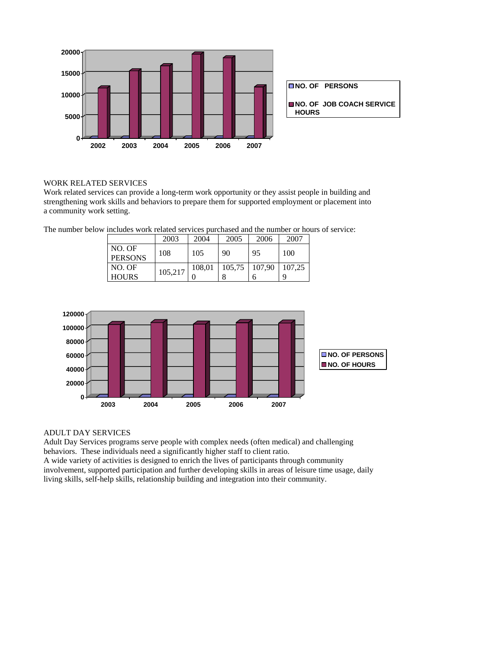



# WORK RELATED SERVICES

Work related services can provide a long-term work opportunity or they assist people in building and strengthening work skills and behaviors to prepare them for supported employment or placement into a community work setting.

The number below includes work related services purchased and the number or hours of service:

|                           | 2003    | 2004   | 2005              | 2006 | 2007   |
|---------------------------|---------|--------|-------------------|------|--------|
| NO. OF<br><b>PERSONS</b>  | 108     | 105    | 90                | 95   | 100    |
| $NO$ . OF<br><b>HOURS</b> | 105,217 | 108,01 | $105,75$   107,90 |      | 107.25 |



# ADULT DAY SERVICES

Adult Day Services programs serve people with complex needs (often medical) and challenging behaviors. These individuals need a significantly higher staff to client ratio.

A wide variety of activities is designed to enrich the lives of participants through community involvement, supported participation and further developing skills in areas of leisure time usage, daily living skills, self-help skills, relationship building and integration into their community.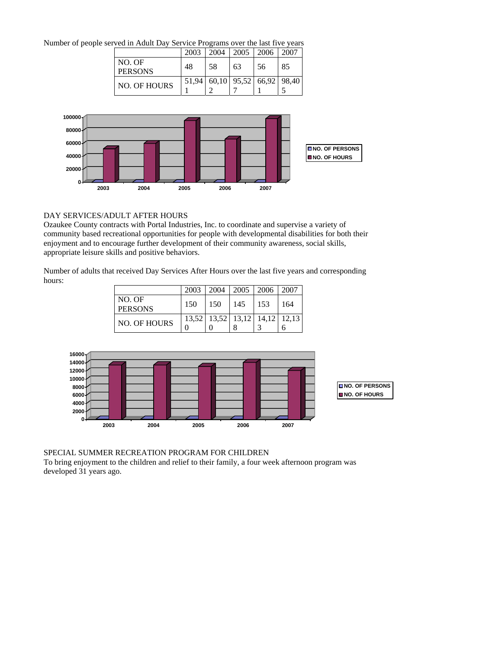Number of people served in Adult Day Service Programs over the last five years

|                          | 2003  | 2004 | 2005                      | 2006 | 2007 |
|--------------------------|-------|------|---------------------------|------|------|
| NO. OF<br><b>PERSONS</b> | 48    | 58   | 63                        | 56   | 85   |
| <b>NO. OF HOURS</b>      | 51.94 |      | $60,10$ 95,52 66,92 98,40 |      |      |
|                          |       |      |                           |      |      |



# DAY SERVICES/ADULT AFTER HOURS

Ozaukee County contracts with Portal Industries, Inc. to coordinate and supervise a variety of community based recreational opportunities for people with developmental disabilities for both their enjoyment and to encourage further development of their community awareness, social skills, appropriate leisure skills and positive behaviors.

Number of adults that received Day Services After Hours over the last five years and corresponding hours:

|                          |     |     | 2003   2004   2005   2006     |     | 2007 |
|--------------------------|-----|-----|-------------------------------|-----|------|
| NO. OF<br><b>PERSONS</b> | 150 | 150 | 145                           | 153 | 164  |
| <b>NO. OF HOURS</b>      |     |     | 13,52 13,52 13,12 14,12 12,13 |     |      |



SPECIAL SUMMER RECREATION PROGRAM FOR CHILDREN

To bring enjoyment to the children and relief to their family, a four week afternoon program was developed 31 years ago.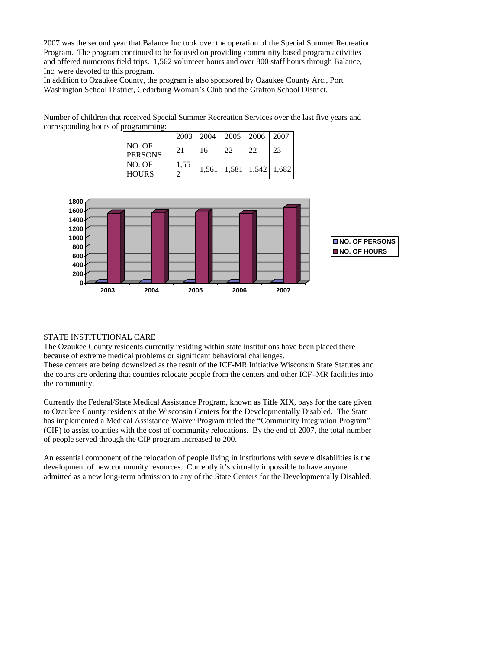2007 was the second year that Balance Inc took over the operation of the Special Summer Recreation Program. The program continued to be focused on providing community based program activities and offered numerous field trips. 1,562 volunteer hours and over 800 staff hours through Balance, Inc. were devoted to this program.

In addition to Ozaukee County, the program is also sponsored by Ozaukee County Arc., Port Washington School District, Cedarburg Woman's Club and the Grafton School District.

Number of children that received Special Summer Recreation Services over the last five years and corresponding hours of programming:

|                          |      | $2003 \mid 2004$ |    | $\mid$ 2005   2006   2007             |    |
|--------------------------|------|------------------|----|---------------------------------------|----|
| NO. OF<br><b>PERSONS</b> | 21   | 16               | 22 | 22                                    | 23 |
| NO. OF<br><b>HOURS</b>   | 1,55 |                  |    | $1,561$   $1,581$   $1,542$   $1,682$ |    |



#### STATE INSTITUTIONAL CARE

The Ozaukee County residents currently residing within state institutions have been placed there because of extreme medical problems or significant behavioral challenges.

These centers are being downsized as the result of the ICF-MR Initiative Wisconsin State Statutes and the courts are ordering that counties relocate people from the centers and other ICF–MR facilities into the community.

Currently the Federal/State Medical Assistance Program, known as Title XIX, pays for the care given to Ozaukee County residents at the Wisconsin Centers for the Developmentally Disabled. The State has implemented a Medical Assistance Waiver Program titled the "Community Integration Program" (CIP) to assist counties with the cost of community relocations. By the end of 2007, the total number of people served through the CIP program increased to 200.

An essential component of the relocation of people living in institutions with severe disabilities is the development of new community resources. Currently it's virtually impossible to have anyone admitted as a new long-term admission to any of the State Centers for the Developmentally Disabled.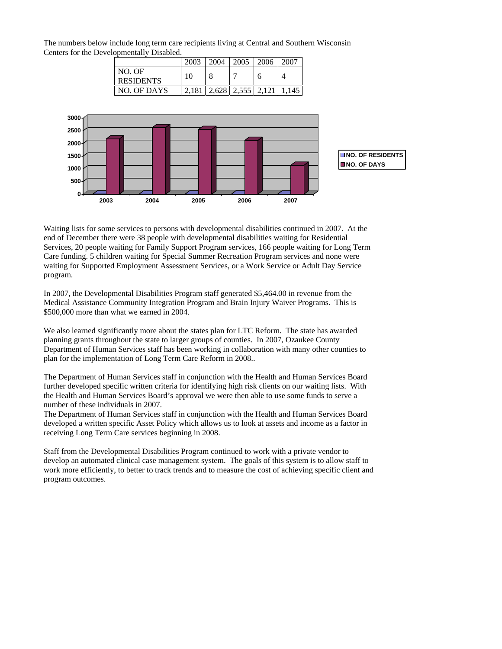The numbers below include long term care recipients living at Central and Southern Wisconsin Centers for the Developmentally Disabled.

|                            | 2003 | 2004  | 2005  | 2006  | 2007  |
|----------------------------|------|-------|-------|-------|-------|
| NO. OF<br><b>RESIDENTS</b> | 10   |       |       | n     |       |
| NO. OF DAYS                |      | 2.628 | 2.555 | 2.121 | 1.145 |



Waiting lists for some services to persons with developmental disabilities continued in 2007. At the end of December there were 38 people with developmental disabilities waiting for Residential Services, 20 people waiting for Family Support Program services, 166 people waiting for Long Term Care funding. 5 children waiting for Special Summer Recreation Program services and none were waiting for Supported Employment Assessment Services, or a Work Service or Adult Day Service program.

In 2007, the Developmental Disabilities Program staff generated \$5,464.00 in revenue from the Medical Assistance Community Integration Program and Brain Injury Waiver Programs. This is \$500,000 more than what we earned in 2004.

We also learned significantly more about the states plan for LTC Reform. The state has awarded planning grants throughout the state to larger groups of counties. In 2007, Ozaukee County Department of Human Services staff has been working in collaboration with many other counties to plan for the implementation of Long Term Care Reform in 2008..

The Department of Human Services staff in conjunction with the Health and Human Services Board further developed specific written criteria for identifying high risk clients on our waiting lists. With the Health and Human Services Board's approval we were then able to use some funds to serve a number of these individuals in 2007.

The Department of Human Services staff in conjunction with the Health and Human Services Board developed a written specific Asset Policy which allows us to look at assets and income as a factor in receiving Long Term Care services beginning in 2008.

Staff from the Developmental Disabilities Program continued to work with a private vendor to develop an automated clinical case management system. The goals of this system is to allow staff to work more efficiently, to better to track trends and to measure the cost of achieving specific client and program outcomes.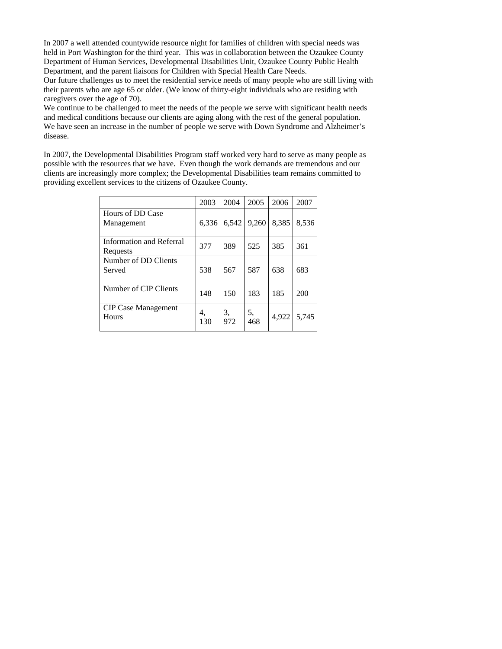In 2007 a well attended countywide resource night for families of children with special needs was held in Port Washington for the third year. This was in collaboration between the Ozaukee County Department of Human Services, Developmental Disabilities Unit, Ozaukee County Public Health Department, and the parent liaisons for Children with Special Health Care Needs.

Our future challenges us to meet the residential service needs of many people who are still living with their parents who are age 65 or older. (We know of thirty-eight individuals who are residing with caregivers over the age of 70).

We continue to be challenged to meet the needs of the people we serve with significant health needs and medical conditions because our clients are aging along with the rest of the general population. We have seen an increase in the number of people we serve with Down Syndrome and Alzheimer's disease.

In 2007, the Developmental Disabilities Program staff worked very hard to serve as many people as possible with the resources that we have. Even though the work demands are tremendous and our clients are increasingly more complex; the Developmental Disabilities team remains committed to providing excellent services to the citizens of Ozaukee County.

|                                      | 2003      | 2004      | 2005      | 2006  | 2007  |
|--------------------------------------|-----------|-----------|-----------|-------|-------|
| Hours of DD Case<br>Management       | 6.336     | 6.542     | 9,260     | 8,385 | 8,536 |
| Information and Referral<br>Requests | 377       | 389       | 525       | 385   | 361   |
| Number of DD Clients<br>Served       | 538       | 567       | 587       | 638   | 683   |
| Number of CIP Clients                | 148       | 150       | 183       | 185   | 200   |
| <b>CIP Case Management</b><br>Hours  | 4.<br>130 | 3,<br>972 | 5,<br>468 | 4,922 | 5.745 |